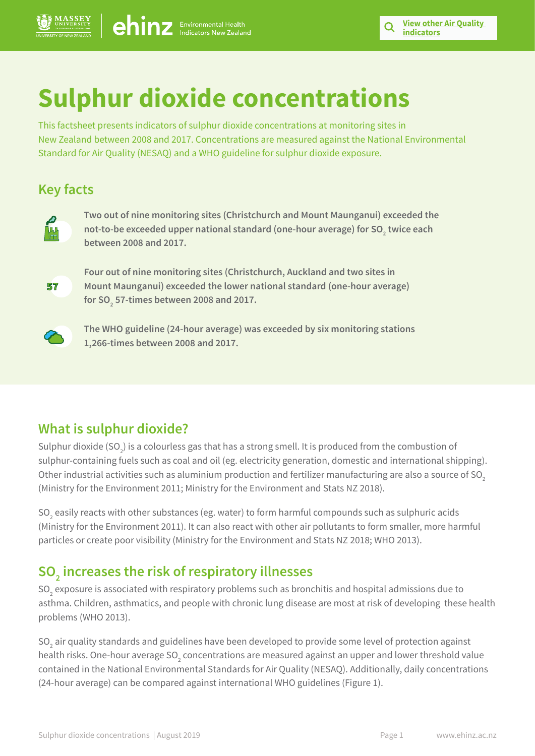# **Sulphur dioxide concentrations**

This factsheet presents indicators of sulphur dioxide concentrations at monitoring sites in New Zealand between 2008 and 2017. Concentrations are measured against the National Environmental Standard for Air Quality (NESAQ) and a WHO guideline for sulphur dioxide exposure.

## **Key facts**



**Two out of nine monitoring sites (Christchurch and Mount Maunganui) exceeded the**  not-to-be exceeded upper national standard (one-hour average) for SO<sub>2</sub> twice each **between 2008 and 2017.**



**Four out of nine monitoring sites (Christchurch, Auckland and two sites in Mount Maunganui) exceeded the lower national standard (one-hour average) for SO2 57-times between 2008 and 2017.** 



**The WHO guideline (24-hour average) was exceeded by six monitoring stations 1,266-times between 2008 and 2017.**

## **What is sulphur dioxide?**

Sulphur dioxide (SO<sub>2</sub>) is a colourless gas that has a strong smell. It is produced from the combustion of sulphur-containing fuels such as coal and oil (eg. electricity generation, domestic and international shipping). Other industrial activities such as aluminium production and fertilizer manufacturing are also a source of SO<sub>2</sub> (Ministry for the Environment 2011; Ministry for the Environment and Stats NZ 2018).

SO $_{\textrm{\tiny{2}}}$  easily reacts with other substances (eg. water) to form harmful compounds such as sulphuric acids (Ministry for the Environment 2011). It can also react with other air pollutants to form smaller, more harmful particles or create poor visibility (Ministry for the Environment and Stats NZ 2018; WHO 2013).

## **SO2 increases the risk of respiratory illnesses**

SO $_{\textrm{\tiny{2}}}$  exposure is associated with respiratory problems such as bronchitis and hospital admissions due to asthma. Children, asthmatics, and people with chronic lung disease are most at risk of developing these health problems (WHO 2013).

SO $_{\rm 2}$  air quality standards and guidelines have been developed to provide some level of protection against health risks. One-hour average SO $_{\textrm{\tiny{2}}}$  concentrations are measured against an upper and lower threshold value contained in the National Environmental Standards for Air Quality (NESAQ). Additionally, daily concentrations (24-hour average) can be compared against international WHO guidelines (Figure 1).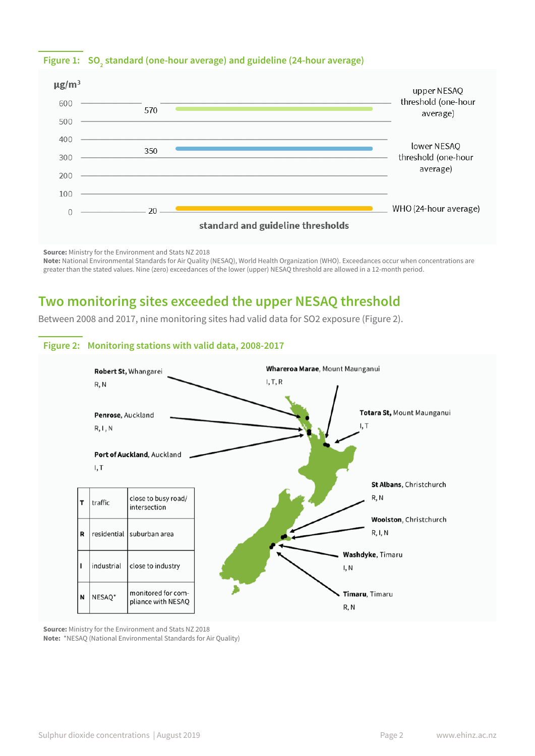## Figure 1:  $\left| \text{SO}_2 \right|$  standard (one-hour average) and guideline (24-hour average)



**Source:** Ministry for the Environment and Stats NZ 2018 **Note:** National Environmental Standards for Air Quality (NESAQ), World Health Organization (WHO). Exceedances occur when concentrations are greater than the stated values. Nine (zero) exceedances of the lower (upper) NESAQ threshold are allowed in a 12-month period.

## **Two monitoring sites exceeded the upper NESAQ threshold**

Between 2008 and 2017, nine monitoring sites had valid data for SO2 exposure (Figure 2).



**Source:** Ministry for the Environment and Stats NZ 2018 **Note:** \*NESAQ (National Environmental Standards for Air Quality)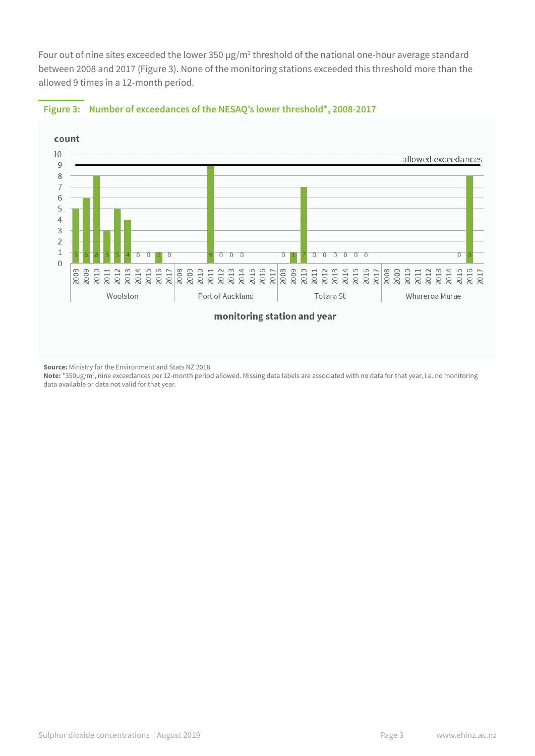Four out of nine sites exceeded the lower 350  $\mu$ g/m<sup>3</sup> threshold of the national one-hour average standard between 2008 and 2017 (Figure 3). None of the monitoring stations exceeded this threshold more than the allowed 9 times in a 12-month period.





**Source:** Ministry for the Environment and Stats NZ 2018

**Note:** \*350µg/m3 , nine exceedances per 12-month period allowed. Missing data labels are associated with no data for that year, i.e. no monitoring data available or data not valid for that year.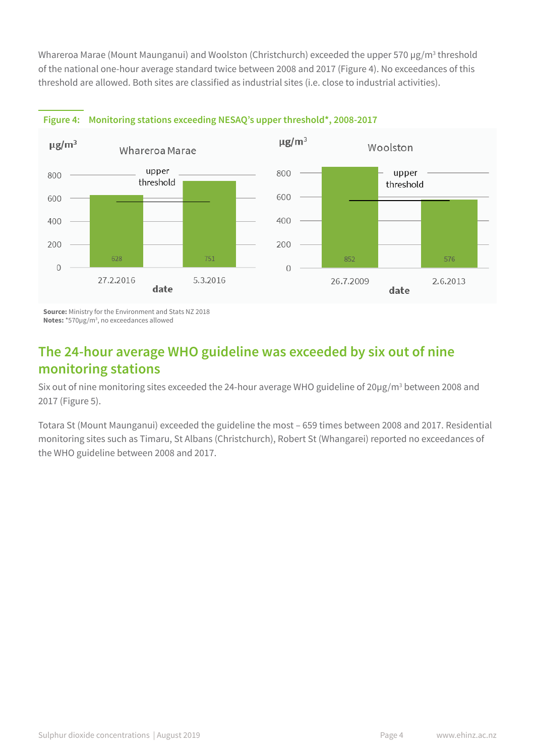Whareroa Marae (Mount Maunganui) and Woolston (Christchurch) exceeded the upper 570 µg/m $^3$  threshold of the national one-hour average standard twice between 2008 and 2017 (Figure 4). No exceedances of this threshold are allowed. Both sites are classified as industrial sites (i.e. close to industrial activities).



#### **Figure 4: Monitoring stations exceeding NESAQ's upper threshold\*, 2008-2017**

**Source:** Ministry for the Environment and Stats NZ 2018 **Notes:** \*570µg/m3 , no exceedances allowed

## **The 24-hour average WHO guideline was exceeded by six out of nine monitoring stations**

Six out of nine monitoring sites exceeded the 24-hour average WHO guideline of 20 $\mu$ g/m<sup>3</sup> between 2008 and 2017 (Figure 5).

Totara St (Mount Maunganui) exceeded the guideline the most – 659 times between 2008 and 2017. Residential monitoring sites such as Timaru, St Albans (Christchurch), Robert St (Whangarei) reported no exceedances of the WHO guideline between 2008 and 2017.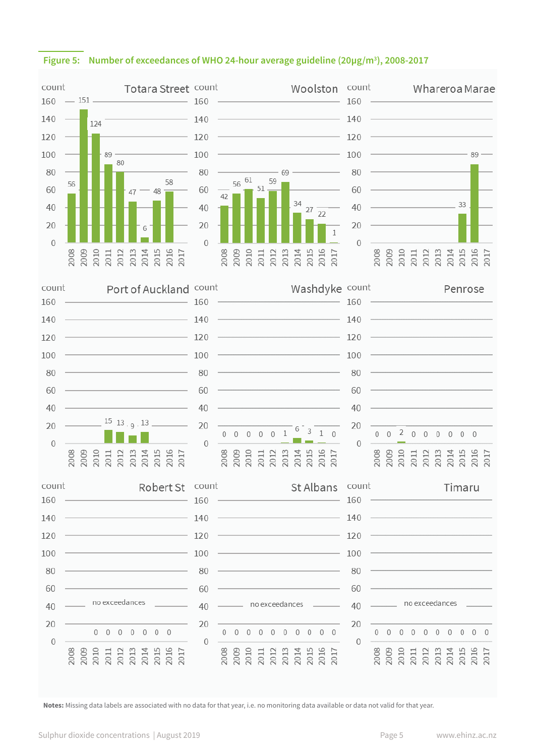

#### **Figure 5: Number of exceedances of WHO 24-hour average guideline (20µg/m3 ), 2008-2017**

**Notes:** Missing data labels are associated with no data for that year, i.e. no monitoring data available or data not valid for that year.